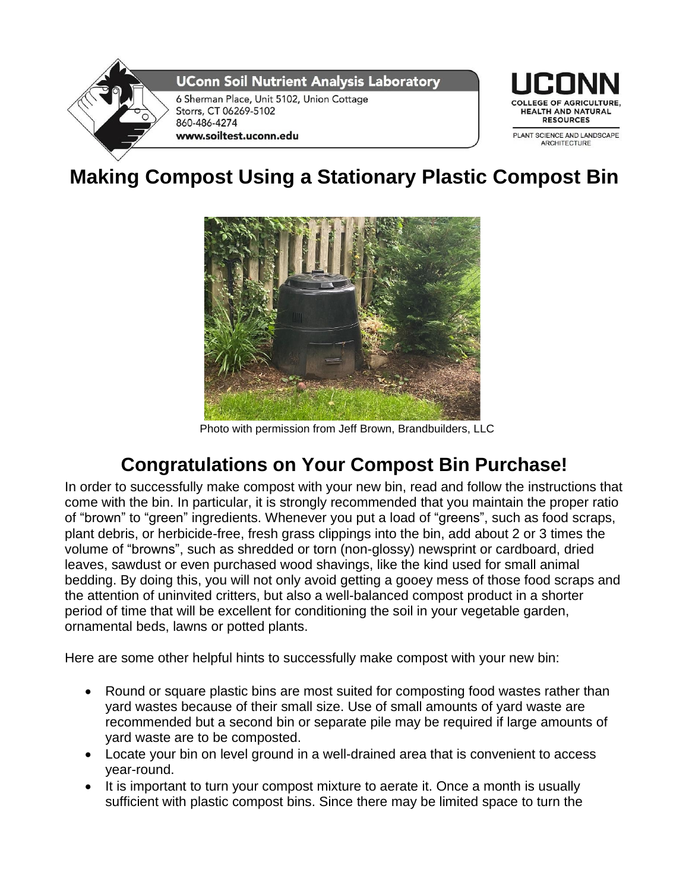

## **Making Compost Using a Stationary Plastic Compost Bin**



Photo with permission from Jeff Brown, Brandbuilders, LLC

## **Congratulations on Your Compost Bin Purchase!**

In order to successfully make compost with your new bin, read and follow the instructions that come with the bin. In particular, it is strongly recommended that you maintain the proper ratio of "brown" to "green" ingredients. Whenever you put a load of "greens", such as food scraps, plant debris, or herbicide-free, fresh grass clippings into the bin, add about 2 or 3 times the volume of "browns", such as shredded or torn (non-glossy) newsprint or cardboard, dried leaves, sawdust or even purchased wood shavings, like the kind used for small animal bedding. By doing this, you will not only avoid getting a gooey mess of those food scraps and the attention of uninvited critters, but also a well-balanced compost product in a shorter period of time that will be excellent for conditioning the soil in your vegetable garden, ornamental beds, lawns or potted plants.

Here are some other helpful hints to successfully make compost with your new bin:

- Round or square plastic bins are most suited for composting food wastes rather than yard wastes because of their small size. Use of small amounts of yard waste are recommended but a second bin or separate pile may be required if large amounts of yard waste are to be composted.
- Locate your bin on level ground in a well-drained area that is convenient to access year-round.
- It is important to turn your compost mixture to aerate it. Once a month is usually sufficient with plastic compost bins. Since there may be limited space to turn the